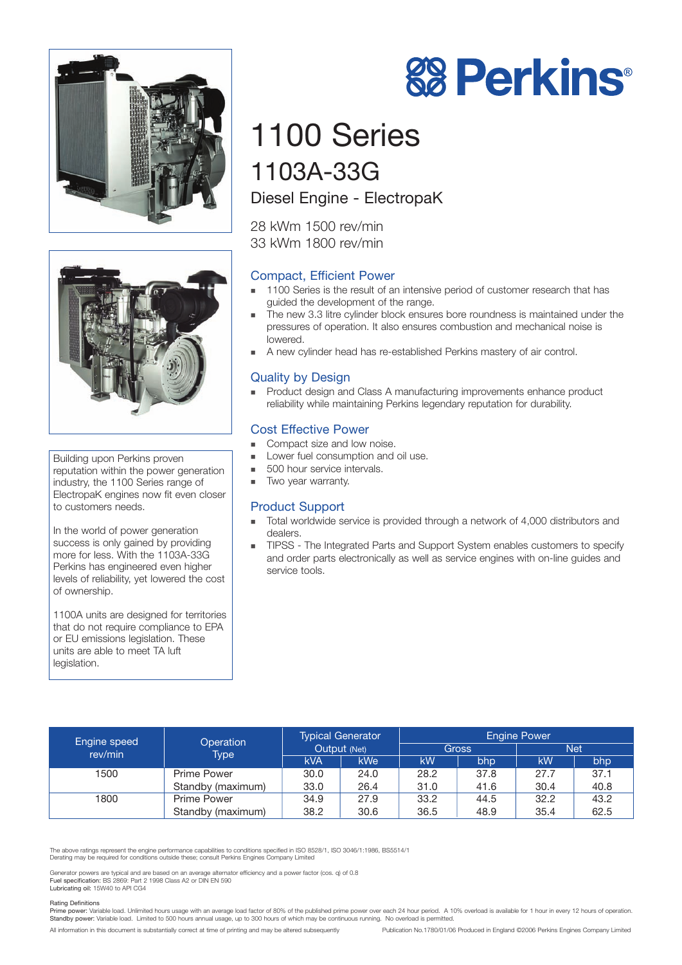



Building upon Perkins proven reputation within the power generation industry, the 1100 Series range of ElectropaK engines now fit even closer to customers needs.

In the world of power generation success is only gained by providing more for less. With the 1103A-33G Perkins has engineered even higher levels of reliability, yet lowered the cost of ownership.

1100A units are designed for territories that do not require compliance to EPA or EU emissions legislation. These units are able to meet TA luft legislation.

# 1100 Series 1103A-33G

## Diesel Engine - ElectropaK

28 kWm 1500 rev/min 33 kWm 1800 rev/min

## Compact, Efficient Power

- 1100 Series is the result of an intensive period of customer research that has guided the development of the range.
- **The new 3.3 litre cylinder block ensures bore roundness is maintained under the** pressures of operation. It also ensures combustion and mechanical noise is lowered.
- ! A new cylinder head has re-established Perkins mastery of air control.

### Quality by Design

! Product design and Class A manufacturing improvements enhance product reliability while maintaining Perkins legendary reputation for durability.

#### Cost Effective Power

- Compact size and low noise.
- **In Lower fuel consumption and oil use.** 
	- 500 hour service intervals.
- **Two year warranty.**

### Product Support

- ! Total worldwide service is provided through a network of 4,000 distributors and dealers.
- ! TIPSS The Integrated Parts and Support System enables customers to specify and order parts electronically as well as service engines with on-line guides and service tools.

| Engine speed<br>rev/min | Operation<br>Type <sup>1</sup> | <b>Typical Generator</b><br>Output (Net) |      | <b>Engine Power</b><br><b>Net</b><br>Gross |      |      |      |
|-------------------------|--------------------------------|------------------------------------------|------|--------------------------------------------|------|------|------|
|                         |                                |                                          |      |                                            |      |      |      |
|                         |                                | <b>kVA</b>                               | kWe' | kW                                         | bhp  | kW   | bhp  |
| 1500                    | Prime Power                    | 30.0                                     | 24.0 | 28.2                                       | 37.8 | 27.7 | 37.1 |
|                         | Standby (maximum)              | 33.0                                     | 26.4 | 31.0                                       | 41.6 | 30.4 | 40.8 |
| 1800                    | <b>Prime Power</b>             | 34.9                                     | 27.9 | 33.2                                       | 44.5 | 32.2 | 43.2 |
|                         | Standby (maximum)              | 38.2                                     | 30.6 | 36.5                                       | 48.9 | 35.4 | 62.5 |

The above ratings represent the engine performance capabilities to conditions specified in ISO 8528/1, ISO 3046/1:1986, BS5514/1 Derating may be required for conditions outside these; consult Perkins Engines Company Limited

Generator powers are typical and are based on an average alternator efficiency and a power factor (cos. q) of 0.8<br>Fuel specification: BS 2869: Part 2 1998 Class A2 or DIN EN 590<br>Lubricating oil: 15W40 to API CG4

#### Rating Definitions

Prime power: Variable load. Unlimited hours usage with an average load factor of 80% of the published prime power over each 24 hour period. A 10% overload is available for 1 hour in every 12 hours of operation.<br>Standby pow

All information in this document is substantially correct at time of printing and may be altered subsequently Publication No.1780/01/06 Produced in England ©2006 Perkins Engines Company Limited